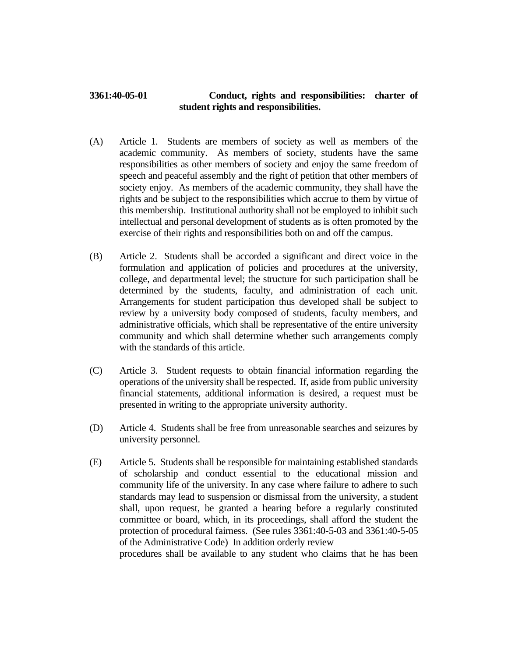## **3361:40-05-01 Conduct, rights and responsibilities: charter of student rights and responsibilities.**

- (A) Article 1. Students are members of society as well as members of the academic community. As members of society, students have the same responsibilities as other members of society and enjoy the same freedom of speech and peaceful assembly and the right of petition that other members of society enjoy. As members of the academic community, they shall have the rights and be subject to the responsibilities which accrue to them by virtue of this membership. Institutional authority shall not be employed to inhibit such intellectual and personal development of students as is often promoted by the exercise of their rights and responsibilities both on and off the campus.
- (B) Article 2. Students shall be accorded a significant and direct voice in the formulation and application of policies and procedures at the university, college, and departmental level; the structure for such participation shall be determined by the students, faculty, and administration of each unit. Arrangements for student participation thus developed shall be subject to review by a university body composed of students, faculty members, and administrative officials, which shall be representative of the entire university community and which shall determine whether such arrangements comply with the standards of this article.
- (C) Article 3. Student requests to obtain financial information regarding the operations of the university shall be respected. If, aside from public university financial statements, additional information is desired, a request must be presented in writing to the appropriate university authority.
- (D) Article 4. Students shall be free from unreasonable searches and seizures by university personnel.
- (E) Article 5. Students shall be responsible for maintaining established standards of scholarship and conduct essential to the educational mission and community life of the university. In any case where failure to adhere to such standards may lead to suspension or dismissal from the university, a student shall, upon request, be granted a hearing before a regularly constituted committee or board, which, in its proceedings, shall afford the student the protection of procedural fairness. (See rules 3361:40-5-03 and 3361:40-5-05 of the Administrative Code) In addition orderly review

procedures shall be available to any student who claims that he has been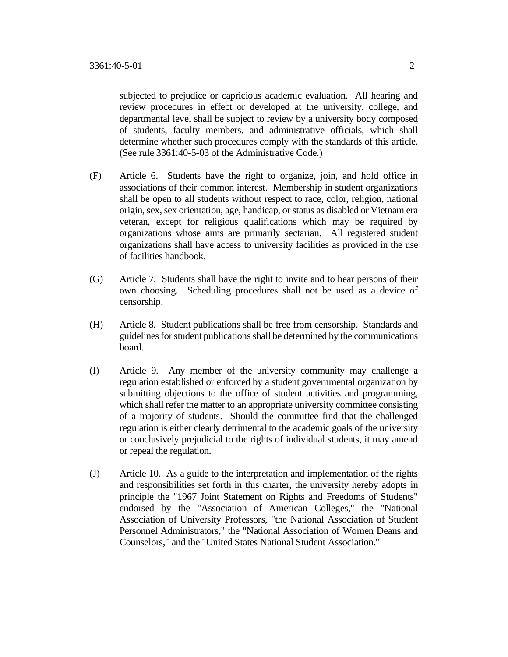subjected to prejudice or capricious academic evaluation. All hearing and review procedures in effect or developed at the university, college, and departmental level shall be subject to review by a university body composed of students, faculty members, and administrative officials, which shall determine whether such procedures comply with the standards of this article. (See rule 3361:40-5-03 of the Administrative Code.)

- (F) Article 6. Students have the right to organize, join, and hold office in associations of their common interest. Membership in student organizations shall be open to all students without respect to race, color, religion, national origin, sex, sex orientation, age, handicap, or status as disabled or Vietnam era veteran, except for religious qualifications which may be required by organizations whose aims are primarily sectarian. All registered student organizations shall have access to university facilities as provided in the use of facilities handbook.
- (G) Article 7. Students shall have the right to invite and to hear persons of their own choosing. Scheduling procedures shall not be used as a device of censorship.
- (H) Article 8. Student publications shall be free from censorship. Standards and guidelines for student publications shall be determined by the communications board.
- (I) Article 9. Any member of the university community may challenge a regulation established or enforced by a student governmental organization by submitting objections to the office of student activities and programming, which shall refer the matter to an appropriate university committee consisting of a majority of students. Should the committee find that the challenged regulation is either clearly detrimental to the academic goals of the university or conclusively prejudicial to the rights of individual students, it may amend or repeal the regulation.
- (J) Article 10. As a guide to the interpretation and implementation of the rights and responsibilities set forth in this charter, the university hereby adopts in principle the "1967 Joint Statement on Rights and Freedoms of Students" endorsed by the "Association of American Colleges," the "National Association of University Professors, "the National Association of Student Personnel Administrators," the "National Association of Women Deans and Counselors," and the "United States National Student Association."